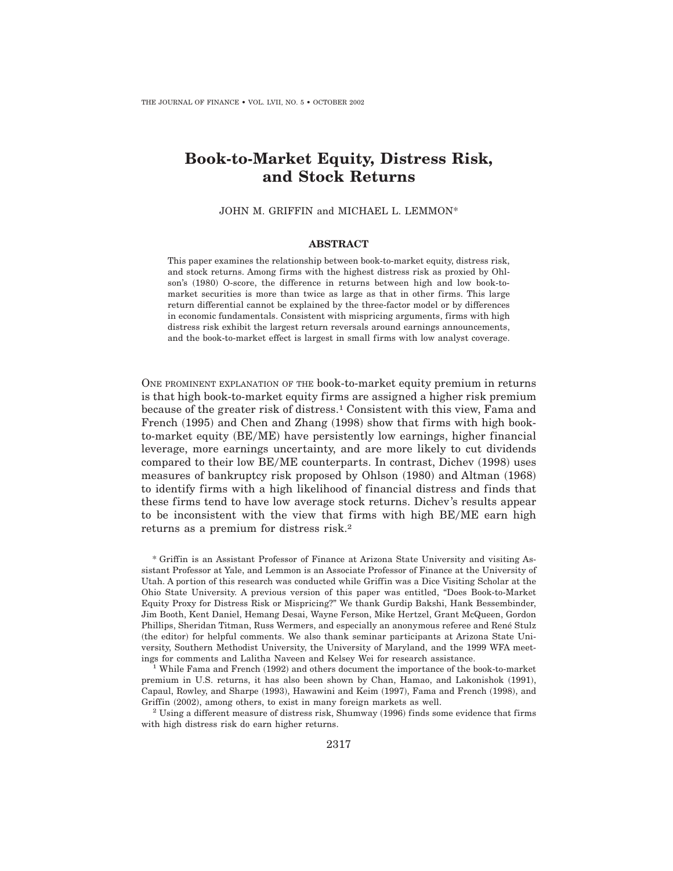# **Book-to-Market Equity, Distress Risk, and Stock Returns**

# JOHN M. GRIFFIN and MICHAEL L. LEMMON\*

#### **ABSTRACT**

This paper examines the relationship between book-to-market equity, distress risk, and stock returns. Among firms with the highest distress risk as proxied by Ohlson's (1980) O-score, the difference in returns between high and low book-tomarket securities is more than twice as large as that in other firms. This large return differential cannot be explained by the three-factor model or by differences in economic fundamentals. Consistent with mispricing arguments, firms with high distress risk exhibit the largest return reversals around earnings announcements, and the book-to-market effect is largest in small firms with low analyst coverage.

ONE PROMINENT EXPLANATION OF THE book-to-market equity premium in returns is that high book-to-market equity firms are assigned a higher risk premium because of the greater risk of distress.1 Consistent with this view, Fama and French (1995) and Chen and Zhang (1998) show that firms with high book $to$ -market equity  $(BE/ME)$  have persistently low earnings, higher financial leverage, more earnings uncertainty, and are more likely to cut dividends compared to their low  $BE/ME$  counterparts. In contrast, Dichev  $(1998)$  uses measures of bankruptcy risk proposed by Ohlson  $(1980)$  and Altman  $(1968)$ to identify firms with a high likelihood of financial distress and finds that these firms tend to have low average stock returns. Dichev's results appear to be inconsistent with the view that firms with high BE/ME earn high returns as a premium for distress risk.2

\* Griffin is an Assistant Professor of Finance at Arizona State University and visiting Assistant Professor at Yale, and Lemmon is an Associate Professor of Finance at the University of Utah. A portion of this research was conducted while Griffin was a Dice Visiting Scholar at the Ohio State University. A previous version of this paper was entitled, "Does Book-to-Market Equity Proxy for Distress Risk or Mispricing?" We thank Gurdip Bakshi, Hank Bessembinder, Jim Booth, Kent Daniel, Hemang Desai, Wayne Ferson, Mike Hertzel, Grant McQueen, Gordon Phillips, Sheridan Titman, Russ Wermers, and especially an anonymous referee and René Stulz (the editor) for helpful comments. We also thank seminar participants at Arizona State University, Southern Methodist University, the University of Maryland, and the 1999 WFA meetings for comments and Lalitha Naveen and Kelsey Wei for research assistance.

<sup>1</sup> While Fama and French  $(1992)$  and others document the importance of the book-to-market premium in U.S. returns, it has also been shown by Chan, Hamao, and Lakonishok (1991), Capaul, Rowley, and Sharpe (1993), Hawawini and Keim (1997), Fama and French (1998), and Griffin  $(2002)$ , among others, to exist in many foreign markets as well.

 $2$  Using a different measure of distress risk, Shumway  $(1996)$  finds some evidence that firms with high distress risk do earn higher returns.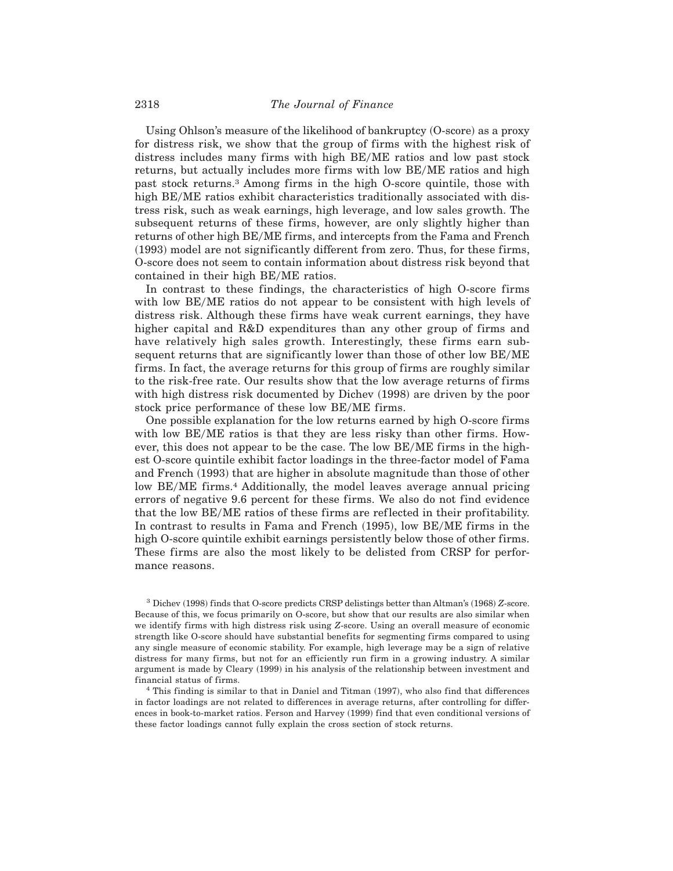Using Ohlson's measure of the likelihood of bankruptcy (O-score) as a proxy for distress risk, we show that the group of firms with the highest risk of distress includes many firms with high BE/ME ratios and low past stock returns, but actually includes more firms with low BE/ME ratios and high past stock returns.3 Among firms in the high O-score quintile, those with high BE/ME ratios exhibit characteristics traditionally associated with distress risk, such as weak earnings, high leverage, and low sales growth. The subsequent returns of these firms, however, are only slightly higher than returns of other high BE/ME firms, and intercepts from the Fama and French  $(1993)$  model are not significantly different from zero. Thus, for these firms, O-score does not seem to contain information about distress risk beyond that contained in their high BE/ME ratios.

In contrast to these findings, the characteristics of high O-score firms with low BE/ME ratios do not appear to be consistent with high levels of distress risk. Although these firms have weak current earnings, they have higher capital and R&D expenditures than any other group of firms and have relatively high sales growth. Interestingly, these firms earn subsequent returns that are significantly lower than those of other low BE/ME firms. In fact, the average returns for this group of firms are roughly similar to the risk-free rate. Our results show that the low average returns of firms with high distress risk documented by Dichev (1998) are driven by the poor stock price performance of these low BE/ME firms.

One possible explanation for the low returns earned by high O-score firms with low  $BE/ME$  ratios is that they are less risky than other firms. However, this does not appear to be the case. The low  $BE/ME$  firms in the highest O-score quintile exhibit factor loadings in the three-factor model of Fama and French (1993) that are higher in absolute magnitude than those of other low BE/ME firms.<sup>4</sup> Additionally, the model leaves average annual pricing errors of negative 9.6 percent for these firms. We also do not find evidence that the low  $BE/ME$  ratios of these firms are reflected in their profitability. In contrast to results in Fama and French  $(1995)$ , low  $BE/ME$  firms in the high O-score quintile exhibit earnings persistently below those of other firms. These firms are also the most likely to be delisted from CRSP for performance reasons.

<sup>3</sup> Dichev (1998) finds that O-score predicts CRSP delistings better than Altman's (1968) *Z*-score. Because of this, we focus primarily on O-score, but show that our results are also similar when we identify firms with high distress risk using *Z*-score. Using an overall measure of economic strength like O-score should have substantial benefits for segmenting firms compared to using any single measure of economic stability. For example, high leverage may be a sign of relative distress for many firms, but not for an efficiently run firm in a growing industry. A similar argument is made by Cleary (1999) in his analysis of the relationship between investment and financial status of firms.

 $4$  This finding is similar to that in Daniel and Titman  $(1997)$ , who also find that differences in factor loadings are not related to differences in average returns, after controlling for differences in book-to-market ratios. Ferson and Harvey (1999) find that even conditional versions of these factor loadings cannot fully explain the cross section of stock returns.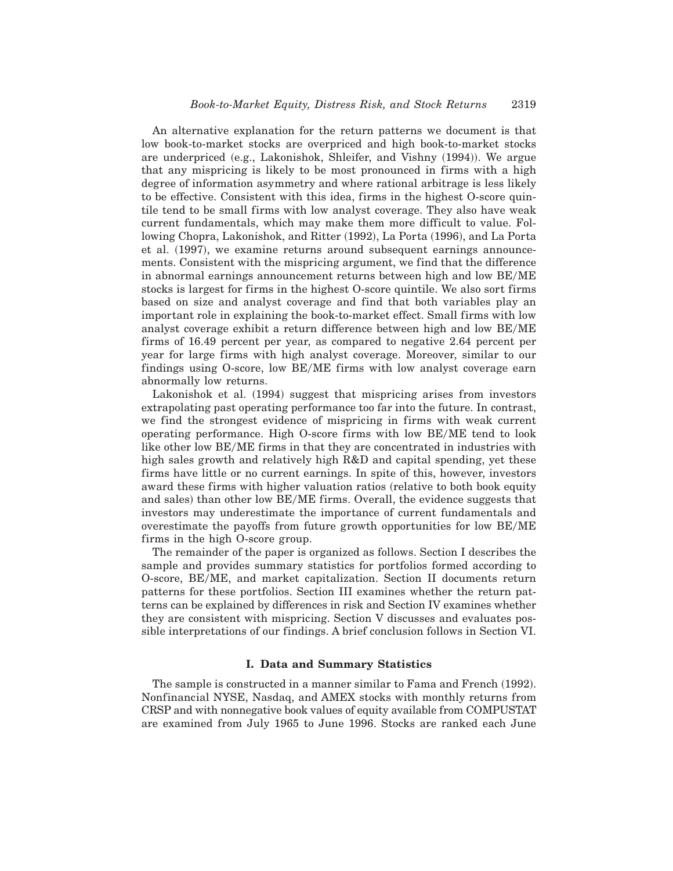An alternative explanation for the return patterns we document is that low book-to-market stocks are overpriced and high book-to-market stocks are underpriced  $(e.g., \text{Lakonishok}, \text{Shleifer}, \text{and } \text{Vishny } (1994)).$  We argue that any mispricing is likely to be most pronounced in firms with a high degree of information asymmetry and where rational arbitrage is less likely to be effective. Consistent with this idea, firms in the highest O-score quintile tend to be small firms with low analyst coverage. They also have weak current fundamentals, which may make them more difficult to value. Following Chopra, Lakonishok, and Ritter (1992), La Porta (1996), and La Porta et al.  $(1997)$ , we examine returns around subsequent earnings announcements. Consistent with the mispricing argument, we find that the difference in abnormal earnings announcement returns between high and low  $BE/ME$ stocks is largest for firms in the highest O-score quintile. We also sort firms based on size and analyst coverage and find that both variables play an important role in explaining the book-to-market effect. Small firms with low analyst coverage exhibit a return difference between high and low BE/ME firms of 16.49 percent per year, as compared to negative 2.64 percent per year for large firms with high analyst coverage. Moreover, similar to our findings using O-score, low BE/ME firms with low analyst coverage earn abnormally low returns.

Lakonishok et al.  $(1994)$  suggest that mispricing arises from investors extrapolating past operating performance too far into the future. In contrast, we find the strongest evidence of mispricing in firms with weak current operating performance. High O-score firms with low  $BE/ME$  tend to look like other low BE/ME firms in that they are concentrated in industries with high sales growth and relatively high R&D and capital spending, yet these firms have little or no current earnings. In spite of this, however, investors award these firms with higher valuation ratios (relative to both book equity and sales) than other low  $BE/ME$  firms. Overall, the evidence suggests that investors may underestimate the importance of current fundamentals and overestimate the payoffs from future growth opportunities for low  $BE/ME$ firms in the high O-score group.

The remainder of the paper is organized as follows. Section I describes the sample and provides summary statistics for portfolios formed according to O-score, BE/ME, and market capitalization. Section II documents return patterns for these portfolios. Section III examines whether the return patterns can be explained by differences in risk and Section IV examines whether they are consistent with mispricing. Section V discusses and evaluates possible interpretations of our findings. A brief conclusion follows in Section VI.

### **I. Data and Summary Statistics**

The sample is constructed in a manner similar to Fama and French  $(1992)$ . Nonfinancial NYSE, Nasdaq, and AMEX stocks with monthly returns from CRSP and with nonnegative book values of equity available from COMPUSTAT are examined from July 1965 to June 1996. Stocks are ranked each June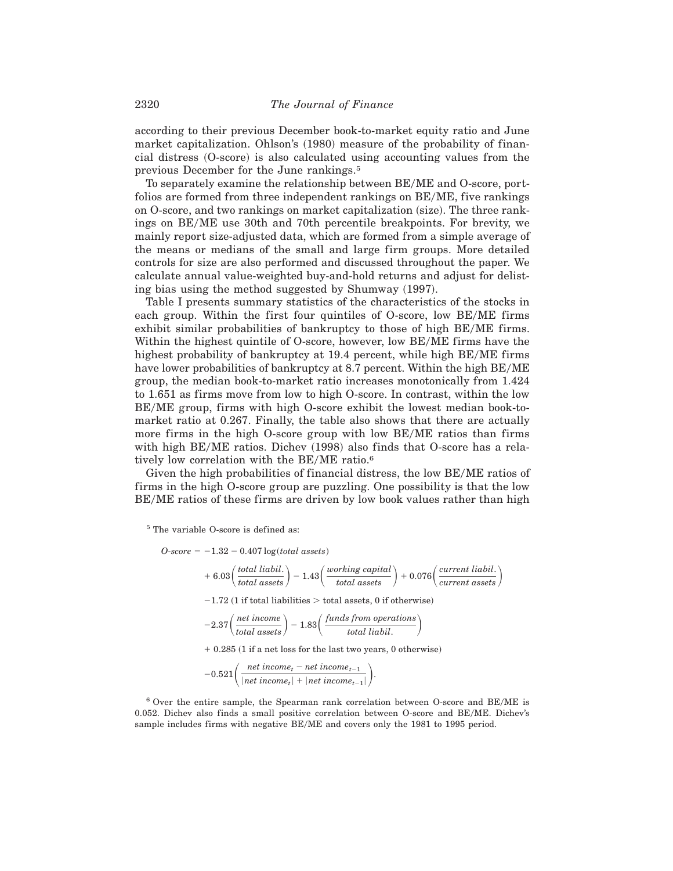according to their previous December book-to-market equity ratio and June market capitalization. Ohlson's (1980) measure of the probability of financial distress (O-score) is also calculated using accounting values from the previous December for the June rankings.5

To separately examine the relationship between  $BE/ME$  and O-score, portfolios are formed from three independent rankings on  $BE/ME$ , five rankings on O-score, and two rankings on market capitalization (size). The three rankings on  $BE/ME$  use 30th and 70th percentile breakpoints. For brevity, we mainly report size-adjusted data, which are formed from a simple average of the means or medians of the small and large firm groups. More detailed controls for size are also performed and discussed throughout the paper. We calculate annual value-weighted buy-and-hold returns and adjust for delisting bias using the method suggested by Shumway  $(1997)$ .

Table I presents summary statistics of the characteristics of the stocks in each group. Within the first four quintiles of  $O$ -score, low  $BE/ME$  firms exhibit similar probabilities of bankruptcy to those of high  $BE/ME$  firms. Within the highest quintile of O-score, however, low  $BE/ME$  firms have the highest probability of bankruptcy at 19.4 percent, while high BE/ME firms have lower probabilities of bankruptcy at 8.7 percent. Within the high  $BE/ME$ group, the median book-to-market ratio increases monotonically from 1.424 to 1.651 as firms move from low to high O-score. In contrast, within the low  $BE/ME$  group, firms with high O-score exhibit the lowest median book-tomarket ratio at 0.267. Finally, the table also shows that there are actually more firms in the high O-score group with low  $BE/ME$  ratios than firms with high  $BE/ME$  ratios. Dichev (1998) also finds that O-score has a relatively low correlation with the  $BE/ME$  ratio.<sup>6</sup>

Given the high probabilities of financial distress, the low BE/ME ratios of firms in the high O-score group are puzzling. One possibility is that the low BE/ME ratios of these firms are driven by low book values rather than high

<sup>5</sup> The variable O-score is defined as:

 $O$ -*score* =  $-1.32 - 0.407 \log(t \text{otal assets})$ 

$$
+\ 6.03 \left(\frac{total\ liability\}{total\ assets}\right)-1.43 \left(\frac{working\ capital}{total\ assets}\right)+0.076 \left(\frac{current\ liability\}{current\ assets}\right)
$$

 $-1.72$  (1 if total liabilities  $>$  total assets, 0 if otherwise)

$$
-2.37 \bigg(\frac{net\ income}{total\ assets}\bigg) - 1.83 \bigg(\frac{funds\ from\ operations}{total\ liability} \bigg)
$$

 $+ 0.285$  (1 if a net loss for the last two years, 0 otherwise)

$$
-0.521 \bigg(\frac{net\ income_t - net\ income_{t-1}}{|net\ income_t | + |net\ income_{t-1}|}\bigg).
$$

 $6$  Over the entire sample, the Spearman rank correlation between O-score and BE/ME is 0.052. Dichev also finds a small positive correlation between O-score and  $BE/ME$ . Dichev's sample includes firms with negative BE/ME and covers only the 1981 to 1995 period.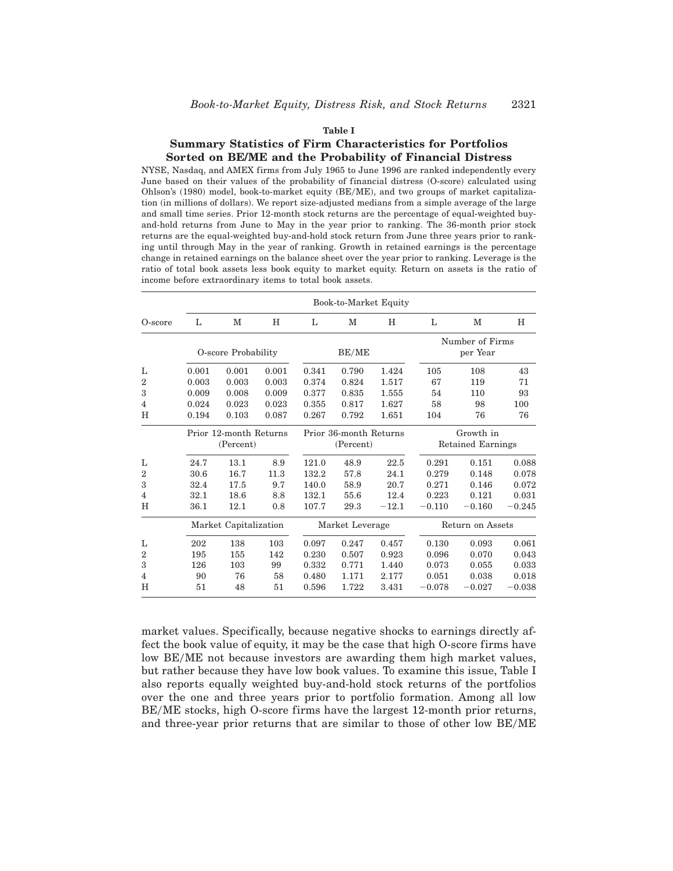#### **Table I**

# **Summary Statistics of Firm Characteristics for Portfolios Sorted on BE/ME and the Probability of Financial Distress**

NYSE, Nasdaq, and AMEX firms from July 1965 to June 1996 are ranked independently every June based on their values of the probability of financial distress (O-score) calculated using Ohlson's  $(1980)$  model, book-to-market equity  $(BE/ME)$ , and two groups of market capitalization (in millions of dollars). We report size-adjusted medians from a simple average of the large and small time series. Prior 12-month stock returns are the percentage of equal-weighted buyand-hold returns from June to May in the year prior to ranking. The 36-month prior stock returns are the equal-weighted buy-and-hold stock return from June three years prior to ranking until through May in the year of ranking. Growth in retained earnings is the percentage change in retained earnings on the balance sheet over the year prior to ranking. Leverage is the ratio of total book assets less book equity to market equity. Return on assets is the ratio of income before extraordinary items to total book assets.

|                | Book-to-Market Equity |                                     |       |                 |                                     |         |                  |                                       |          |  |  |  |
|----------------|-----------------------|-------------------------------------|-------|-----------------|-------------------------------------|---------|------------------|---------------------------------------|----------|--|--|--|
| O-score        | L                     | М                                   | H     | L               | М                                   | H       | L                | M                                     | H        |  |  |  |
|                | O-score Probability   |                                     |       |                 | BE/ME                               |         |                  | Number of Firms<br>per Year           |          |  |  |  |
| L              | 0.001                 | 0.001                               | 0.001 | 0.341           | 0.790                               | 1.424   | 105              | 108                                   | 43       |  |  |  |
| $\overline{2}$ | 0.003                 | 0.003                               | 0.003 | 0.374           | 0.824                               | 1.517   | 67               | 119                                   | 71       |  |  |  |
| 3              | 0.009                 | 0.008                               | 0.009 | 0.377           | 0.835                               | 1.555   | 54               | 110                                   | 93       |  |  |  |
| $\overline{4}$ | 0.024                 | 0.023                               | 0.023 | 0.355           | 0.817                               | 1.627   | 58               | 98                                    | 100      |  |  |  |
| H              | 0.194                 | 0.103                               | 0.087 | 0.267           | 0.792                               | 1.651   | 104              | 76                                    | 76       |  |  |  |
|                |                       | Prior 12-month Returns<br>(Percent) |       |                 | Prior 36-month Returns<br>(Percent) |         |                  | Growth in<br><b>Retained Earnings</b> |          |  |  |  |
| L              | 24.7                  | 13.1                                | 8.9   | 121.0           | 48.9                                | 22.5    | 0.291            | 0.151                                 | 0.088    |  |  |  |
| $\overline{2}$ | 30.6                  | 16.7                                | 11.3  | 132.2           | 57.8                                | 24.1    | 0.279            | 0.148                                 | 0.078    |  |  |  |
| 3              | 32.4                  | 17.5                                | 9.7   | 140.0           | 58.9                                | 20.7    | 0.271            | 0.146                                 | 0.072    |  |  |  |
| $\overline{4}$ | 32.1                  | 18.6                                | 8.8   | 132.1           | 55.6                                | 12.4    | 0.223            | 0.121                                 | 0.031    |  |  |  |
| H              | 36.1                  | 12.1                                | 0.8   | 107.7           | 29.3                                | $-12.1$ | $-0.110$         | $-0.160$                              | $-0.245$ |  |  |  |
|                | Market Capitalization |                                     |       | Market Leverage |                                     |         | Return on Assets |                                       |          |  |  |  |
| L              | 202                   | 138                                 | 103   | 0.097           | 0.247                               | 0.457   | 0.130            | 0.093                                 | 0.061    |  |  |  |
| $\overline{2}$ | 195                   | 155                                 | 142   | 0.230           | 0.507                               | 0.923   | 0.096            | 0.070                                 | 0.043    |  |  |  |
| 3              | 126                   | 103                                 | 99    | 0.332           | 0.771                               | 1.440   | 0.073            | 0.055                                 | 0.033    |  |  |  |
| $\overline{4}$ | 90                    | 76                                  | 58    | 0.480           | 1.171                               | 2.177   | 0.051            | 0.038                                 | 0.018    |  |  |  |
| H              | 51                    | 48                                  | 51    | 0.596           | 1.722                               | 3.431   | $-0.078$         | $-0.027$                              | $-0.038$ |  |  |  |

market values. Specifically, because negative shocks to earnings directly affect the book value of equity, it may be the case that high O-score firms have low BE/ME not because investors are awarding them high market values, but rather because they have low book values. To examine this issue, Table I also reports equally weighted buy-and-hold stock returns of the portfolios over the one and three years prior to portfolio formation. Among all low BE/ME stocks, high O-score firms have the largest 12-month prior returns, and three-year prior returns that are similar to those of other low  $BE/ME$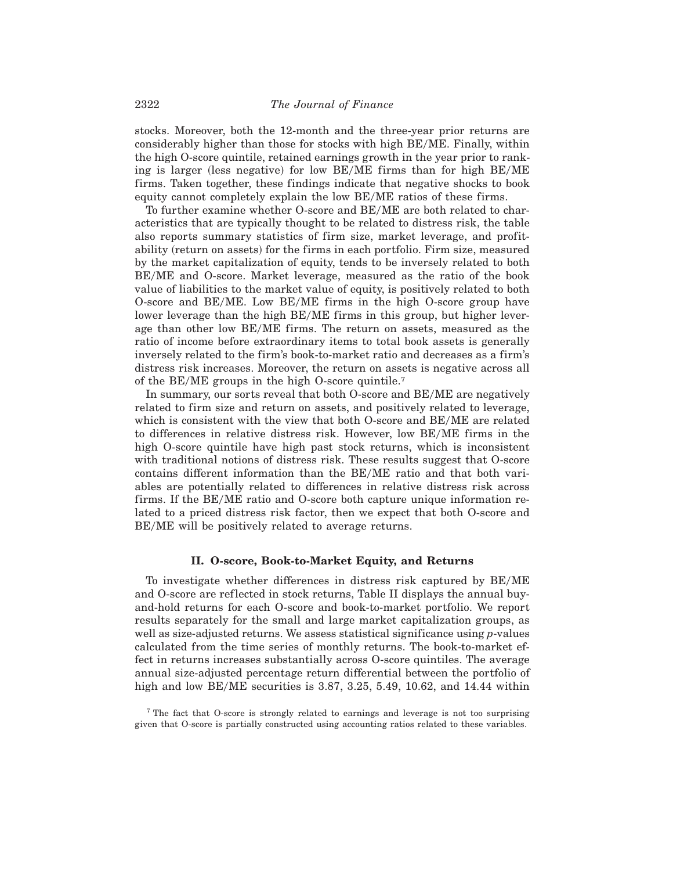stocks. Moreover, both the 12-month and the three-year prior returns are considerably higher than those for stocks with high BE/ME. Finally, within the high O-score quintile, retained earnings growth in the year prior to ranking is larger (less negative) for low  $BE/ME$  firms than for high  $BE/ME$ firms. Taken together, these findings indicate that negative shocks to book equity cannot completely explain the low BE/ME ratios of these firms.

To further examine whether O-score and BE/ME are both related to characteristics that are typically thought to be related to distress risk, the table also reports summary statistics of firm size, market leverage, and profitability (return on assets) for the firms in each portfolio. Firm size, measured by the market capitalization of equity, tends to be inversely related to both BE/ME and O-score. Market leverage, measured as the ratio of the book value of liabilities to the market value of equity, is positively related to both O-score and  $BE/ME$ . Low  $BE/ME$  firms in the high O-score group have lower leverage than the high BE/ME firms in this group, but higher leverage than other low BE/ME firms. The return on assets, measured as the ratio of income before extraordinary items to total book assets is generally inversely related to the firm's book-to-market ratio and decreases as a firm's distress risk increases. Moreover, the return on assets is negative across all of the  $BE/ME$  groups in the high O-score quintile.<sup>7</sup>

In summary, our sorts reveal that both O-score and  $BE/ME$  are negatively related to firm size and return on assets, and positively related to leverage, which is consistent with the view that both  $O$ -score and  $BE/ME$  are related to differences in relative distress risk. However, low BE/ME firms in the high O-score quintile have high past stock returns, which is inconsistent with traditional notions of distress risk. These results suggest that O-score contains different information than the  $BE/ME$  ratio and that both variables are potentially related to differences in relative distress risk across firms. If the  $BE/ME$  ratio and O-score both capture unique information related to a priced distress risk factor, then we expect that both O-score and BE/ME will be positively related to average returns.

#### **II. O-score, Book-to-Market Equity, and Returns**

To investigate whether differences in distress risk captured by  $BE/ME$ and O-score are reflected in stock returns, Table II displays the annual buyand-hold returns for each O-score and book-to-market portfolio. We report results separately for the small and large market capitalization groups, as well as size-adjusted returns. We assess statistical significance using *p*-values calculated from the time series of monthly returns. The book-to-market effect in returns increases substantially across O-score quintiles. The average annual size-adjusted percentage return differential between the portfolio of high and low  $BE/ME$  securities is 3.87, 3.25, 5.49, 10.62, and 14.44 within

<sup>7</sup> The fact that O-score is strongly related to earnings and leverage is not too surprising given that O-score is partially constructed using accounting ratios related to these variables.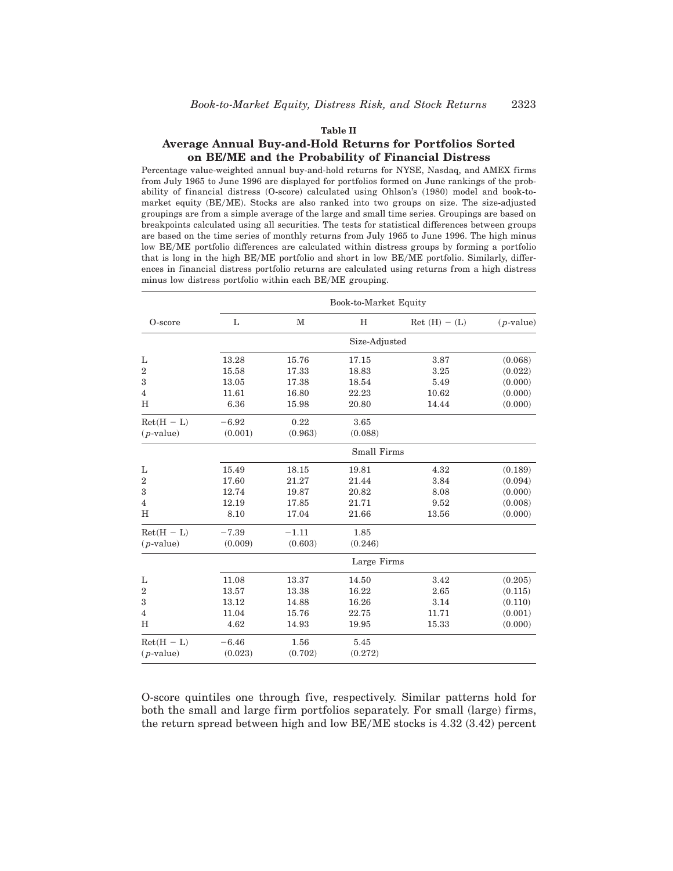#### **Table II**

# **Average Annual Buy-and-Hold Returns for Portfolios Sorted on BE/ME and the Probability of Financial Distress**

Percentage value-weighted annual buy-and-hold returns for NYSE, Nasdaq, and AMEX firms from July 1965 to June 1996 are displayed for portfolios formed on June rankings of the probability of financial distress (O-score) calculated using Ohlson's (1980) model and book-tomarket equity (BE/ME). Stocks are also ranked into two groups on size. The size-adjusted groupings are from a simple average of the large and small time series. Groupings are based on breakpoints calculated using all securities. The tests for statistical differences between groups are based on the time series of monthly returns from July 1965 to June 1996. The high minus low BE/ME portfolio differences are calculated within distress groups by forming a portfolio that is long in the high  $BE/ME$  portfolio and short in low  $BE/ME$  portfolio. Similarly, differences in financial distress portfolio returns are calculated using returns from a high distress minus low distress portfolio within each  $BE/ME$  grouping.

|                  | Book-to-Market Equity |         |             |                |              |  |  |  |  |  |
|------------------|-----------------------|---------|-------------|----------------|--------------|--|--|--|--|--|
| O-score          | L                     | M       | Η           | $Ret(H) - (L)$ | $(p$ -value) |  |  |  |  |  |
|                  | Size-Adjusted         |         |             |                |              |  |  |  |  |  |
| L                | 13.28                 | 15.76   | 17.15       | 3.87           | (0.068)      |  |  |  |  |  |
| $\boldsymbol{2}$ | 15.58                 | 17.33   | 18.83       | 3.25           | (0.022)      |  |  |  |  |  |
| 3                | 13.05                 | 17.38   | 18.54       | 5.49           | (0.000)      |  |  |  |  |  |
| 4                | 11.61                 | 16.80   | 22.23       | 10.62          | (0.000)      |  |  |  |  |  |
| H                | 6.36                  | 15.98   | 20.80       | 14.44          | (0.000)      |  |  |  |  |  |
| $Ret(H - L)$     | $-6.92$               | 0.22    | 3.65        |                |              |  |  |  |  |  |
| $(p$ -value)     | (0.001)               | (0.963) | (0.088)     |                |              |  |  |  |  |  |
|                  | Small Firms           |         |             |                |              |  |  |  |  |  |
| L                | 15.49                 | 18.15   | 19.81       | 4.32           | (0.189)      |  |  |  |  |  |
| $\boldsymbol{2}$ | 17.60                 | 21.27   | 21.44       | 3.84           | (0.094)      |  |  |  |  |  |
| 3                | 12.74                 | 19.87   | 20.82       | 8.08           | (0.000)      |  |  |  |  |  |
| $\overline{4}$   | 12.19                 | 17.85   | 21.71       | 9.52           | (0.008)      |  |  |  |  |  |
| H                | 8.10                  | 17.04   | 21.66       | 13.56          | (0.000)      |  |  |  |  |  |
| $Ret(H - L)$     | $-7.39$               | $-1.11$ | 1.85        |                |              |  |  |  |  |  |
| $(p$ -value)     | (0.009)               | (0.603) | (0.246)     |                |              |  |  |  |  |  |
|                  |                       |         | Large Firms |                |              |  |  |  |  |  |
| L                | 11.08                 | 13.37   | 14.50       | 3.42           | (0.205)      |  |  |  |  |  |
| $\,2$            | 13.57                 | 13.38   | 16.22       | 2.65           | (0.115)      |  |  |  |  |  |
| 3                | 13.12                 | 14.88   | 16.26       | 3.14           | (0.110)      |  |  |  |  |  |
| $\overline{4}$   | 11.04                 | 15.76   | 22.75       | 11.71          | (0.001)      |  |  |  |  |  |
| Η                | 4.62                  | 14.93   | 19.95       | 15.33          | (0.000)      |  |  |  |  |  |
| $Ret(H - L)$     | $-6.46$               | 1.56    | 5.45        |                |              |  |  |  |  |  |
| $(p$ -value)     | (0.023)               | (0.702) | (0.272)     |                |              |  |  |  |  |  |

O-score quintiles one through five, respectively. Similar patterns hold for both the small and large firm portfolios separately. For small (large) firms, the return spread between high and low  $BE/ME$  stocks is 4.32  $(3.42)$  percent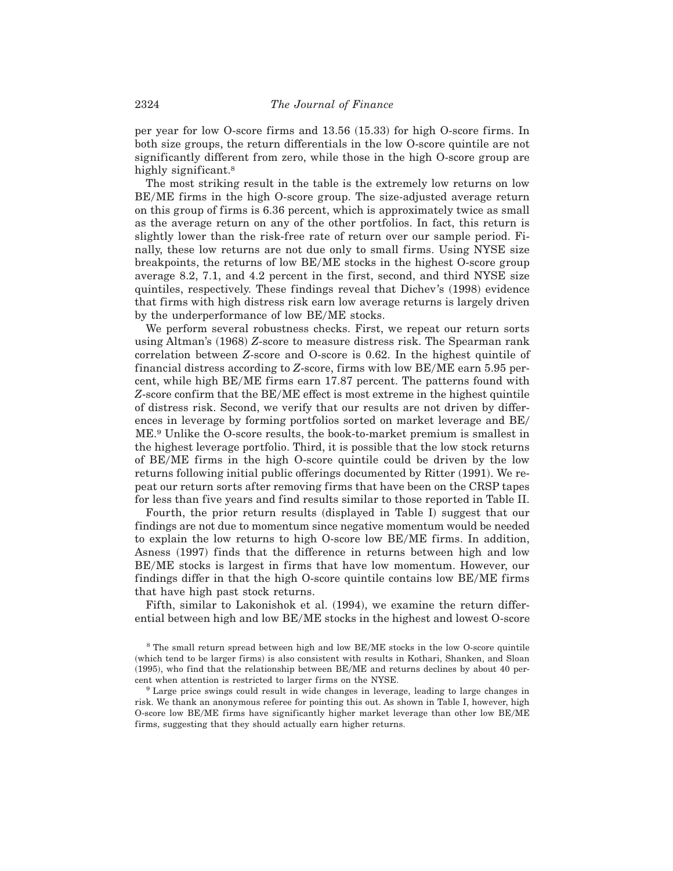per year for low O-score firms and  $13.56$   $(15.33)$  for high O-score firms. In both size groups, the return differentials in the low O-score quintile are not significantly different from zero, while those in the high O-score group are highly significant.<sup>8</sup>

The most striking result in the table is the extremely low returns on low  $BE/ME$  firms in the high O-score group. The size-adjusted average return on this group of firms is 6.36 percent, which is approximately twice as small as the average return on any of the other portfolios. In fact, this return is slightly lower than the risk-free rate of return over our sample period. Finally, these low returns are not due only to small firms. Using NYSE size breakpoints, the returns of low  $BE/ME$  stocks in the highest O-score group average 8.2, 7.1, and 4.2 percent in the first, second, and third NYSE size quintiles, respectively. These findings reveal that Dichev's (1998) evidence that firms with high distress risk earn low average returns is largely driven by the underperformance of low BE/ME stocks.

We perform several robustness checks. First, we repeat our return sorts using Altman's (1968) *Z*-score to measure distress risk. The Spearman rank correlation between *Z*-score and O-score is 0.62. In the highest quintile of financial distress according to *Z*-score, firms with low BE/ME earn 5.95 percent, while high  $BE/ME$  firms earn 17.87 percent. The patterns found with *Z*-score confirm that the BE/ME effect is most extreme in the highest quintile of distress risk. Second, we verify that our results are not driven by differences in leverage by forming portfolios sorted on market leverage and  $BE/$ ME.9 Unlike the O-score results, the book-to-market premium is smallest in the highest leverage portfolio. Third, it is possible that the low stock returns of  $BE/ME$  firms in the high O-score quintile could be driven by the low returns following initial public offerings documented by Ritter  $(1991)$ . We repeat our return sorts after removing firms that have been on the CRSP tapes for less than five years and find results similar to those reported in Table II.

Fourth, the prior return results (displayed in Table I) suggest that our findings are not due to momentum since negative momentum would be needed to explain the low returns to high O-score low  $BE/ME$  firms. In addition, Asness (1997) finds that the difference in returns between high and low BE/ME stocks is largest in firms that have low momentum. However, our findings differ in that the high O-score quintile contains low  $BE/ME$  firms that have high past stock returns.

Fifth, similar to Lakonishok et al.  $(1994)$ , we examine the return differential between high and low BE/ME stocks in the highest and lowest O-score

 $^8$  The small return spread between high and low  $\rm BE/ME$  stocks in the low O-score quintile (which tend to be larger firms) is also consistent with results in Kothari, Shanken, and Sloan  $(1995)$ , who find that the relationship between  $BE/ME$  and returns declines by about 40 percent when attention is restricted to larger firms on the NYSE.

<sup>9</sup> Large price swings could result in wide changes in leverage, leading to large changes in risk. We thank an anonymous referee for pointing this out. As shown in Table I, however, high O-score low  $BE/ME$  firms have significantly higher market leverage than other low  $BE/ME$ firms, suggesting that they should actually earn higher returns.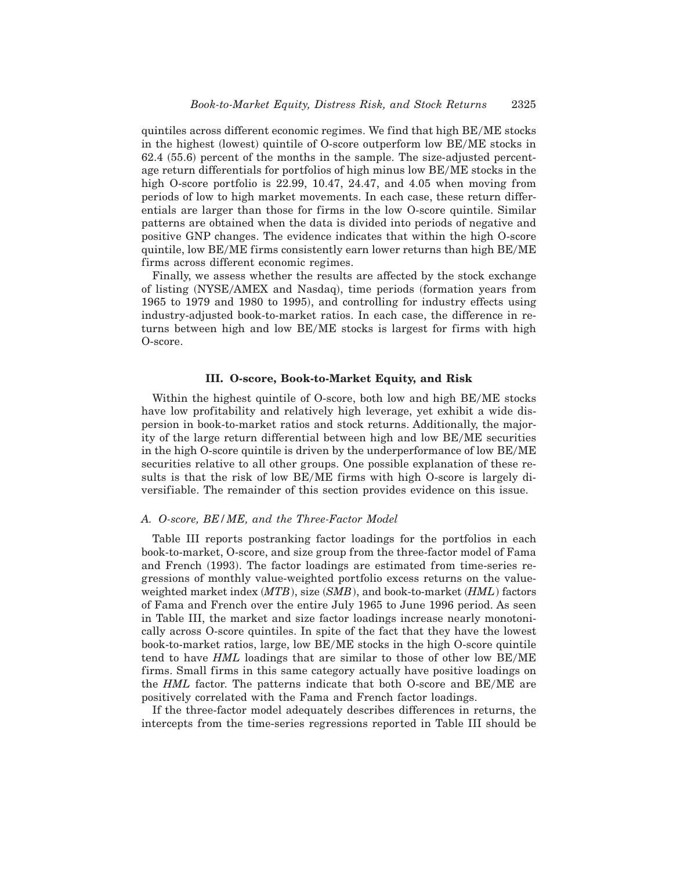quintiles across different economic regimes. We find that high BE/ME stocks in the highest  $(lowest)$  quintile of O-score outperform low  $BE/ME$  stocks in  $62.4$   $(55.6)$  percent of the months in the sample. The size-adjusted percentage return differentials for portfolios of high minus low  $BE/ME$  stocks in the high O-score portfolio is 22.99, 10.47, 24.47, and 4.05 when moving from periods of low to high market movements. In each case, these return differentials are larger than those for firms in the low O-score quintile. Similar patterns are obtained when the data is divided into periods of negative and positive GNP changes. The evidence indicates that within the high O-score quintile, low  $BE/ME$  firms consistently earn lower returns than high  $BE/ME$ firms across different economic regimes.

Finally, we assess whether the results are affected by the stock exchange of listing  $(NYSE/AMEX$  and Nasdaq), time periods (formation years from 1965 to 1979 and 1980 to 1995), and controlling for industry effects using industry-adjusted book-to-market ratios. In each case, the difference in returns between high and low BE/ME stocks is largest for firms with high O-score.

### **III. O-score, Book-to-Market Equity, and Risk**

Within the highest quintile of O-score, both low and high  $BE/ME$  stocks have low profitability and relatively high leverage, yet exhibit a wide dispersion in book-to-market ratios and stock returns. Additionally, the majority of the large return differential between high and low  $BE/ME$  securities in the high O-score quintile is driven by the underperformance of low  $BE/ME$ securities relative to all other groups. One possible explanation of these results is that the risk of low  $BE/ME$  firms with high O-score is largely diversifiable. The remainder of this section provides evidence on this issue.

#### *A. O-score, BE/ME, and the Three-Factor Model*

Table III reports postranking factor loadings for the portfolios in each book-to-market, O-score, and size group from the three-factor model of Fama and French  $(1993)$ . The factor loadings are estimated from time-series regressions of monthly value-weighted portfolio excess returns on the valueweighted market index (*MTB*), size (*SMB*), and book-to-market (*HML*) factors of Fama and French over the entire July 1965 to June 1996 period. As seen in Table III, the market and size factor loadings increase nearly monotonically across O-score quintiles. In spite of the fact that they have the lowest book-to-market ratios, large, low BE/ME stocks in the high O-score quintile tend to have *HML* loadings that are similar to those of other low BE/ME firms. Small firms in this same category actually have positive loadings on the *HML* factor. The patterns indicate that both O-score and BE/ME are positively correlated with the Fama and French factor loadings.

If the three-factor model adequately describes differences in returns, the intercepts from the time-series regressions reported in Table III should be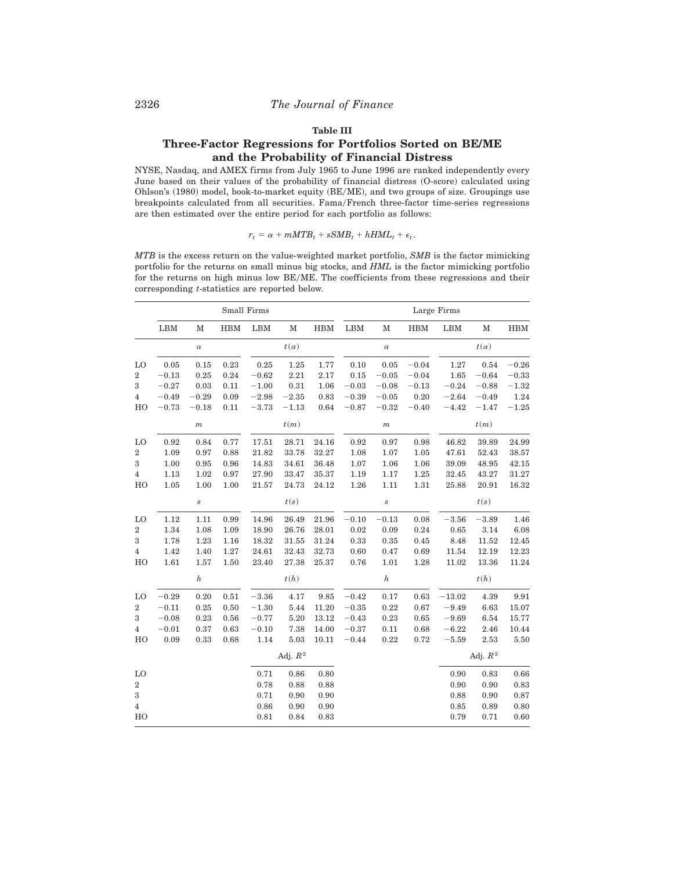# **Table III**

# **Three-Factor Regressions for Portfolios Sorted on BE/ME and the Probability of Financial Distress**

NYSE, Nasdaq, and AMEX firms from July 1965 to June 1996 are ranked independently every June based on their values of the probability of financial distress (O-score) calculated using Ohlson's (1980) model, book-to-market equity (BE/ME), and two groups of size. Groupings use breakpoints calculated from all securities. Fama/French three-factor time-series regressions are then estimated over the entire period for each portfolio as follows:

 $r_t = \alpha + mMTB_t + sSMB_t + hHML_t + \epsilon_t$ .

*MTB* is the excess return on the value-weighted market portfolio, *SMB* is the factor mimicking portfolio for the returns on small minus big stocks, and *HML* is the factor mimicking portfolio for the returns on high minus low  $BE/ME$ . The coefficients from these regressions and their corresponding *t*-statistics are reported below.

|                  | Small Firms      |                  |            |         |             |       |         | Large Firms      |            |          |             |            |  |
|------------------|------------------|------------------|------------|---------|-------------|-------|---------|------------------|------------|----------|-------------|------------|--|
|                  | LBM              | М                | <b>HBM</b> | LBM     | М           | HBM   | LBM     | М                | <b>HBM</b> | LBM      | $\mathbf M$ | <b>HBM</b> |  |
|                  |                  | $\alpha$         |            |         | $t(\alpha)$ |       |         | $\alpha$         |            |          | $t(\alpha)$ |            |  |
| LO.              | 0.05             | 0.15             | 0.23       | 0.25    | 1.25        | 1.77  | 0.10    | 0.05             | $-0.04$    | 1.27     | 0.54        | $-0.26$    |  |
| $\,2$            | $-0.13$          | 0.25             | 0.24       | $-0.62$ | 2.21        | 2.17  | 0.15    | $-0.05$          | $-0.04$    | 1.65     | $-0.64$     | $-0.33$    |  |
| $\boldsymbol{3}$ | $-0.27$          | 0.03             | 0.11       | $-1.00$ | 0.31        | 1.06  | $-0.03$ | $-0.08$          | $-0.13$    | $-0.24$  | $-0.88$     | $-1.32$    |  |
| $\overline{4}$   | $-0.49$          | $-0.29$          | 0.09       | $-2.98$ | $-2.35$     | 0.83  | $-0.39$ | $-0.05$          | 0.20       | $-2.64$  | $-0.49$     | 1.24       |  |
| HO               | $-0.73$          | $-0.18$          | 0.11       | $-3.73$ | $-1.13$     | 0.64  | $-0.87$ | $-0.32$          | $-0.40$    | $-4.42$  | $-1.47$     | $-1.25$    |  |
|                  |                  | $\boldsymbol{m}$ |            |         | t(m)        |       |         | $\,m$            |            |          | t(m)        |            |  |
| L <sub>0</sub>   | 0.92             | 0.84             | 0.77       | 17.51   | 28.71       | 24.16 | 0.92    | 0.97             | 0.98       | 46.82    | 39.89       | 24.99      |  |
| $\,2$            | 1.09             | 0.97             | 0.88       | 21.82   | 33.78       | 32.27 | 1.08    | 1.07             | 1.05       | 47.61    | 52.43       | 38.57      |  |
| $\boldsymbol{3}$ | 1.00             | 0.95             | 0.96       | 14.83   | 34.61       | 36.48 | 1.07    | 1.06             | 1.06       | 39.09    | 48.95       | 42.15      |  |
| $\overline{4}$   | 1.13             | 1.02             | 0.97       | 27.90   | 33.47       | 35.37 | 1.19    | 1.17             | $1.25\,$   | 32.45    | 43.27       | 31.27      |  |
| HO               | 1.05             | 1.00             | 1.00       | 21.57   | 24.73       | 24.12 | 1.26    | 1.11             | 1.31       | 25.88    | 20.91       | 16.32      |  |
|                  | $\boldsymbol{s}$ |                  |            |         | t(s)        |       |         | $\boldsymbol{s}$ |            |          | t(s)        |            |  |
| L <sub>O</sub>   | 1.12             | 1.11             | 0.99       | 14.96   | 26.49       | 21.96 | $-0.10$ | $-0.13$          | 0.08       | $-3.56$  | $-3.89$     | 1.46       |  |
| $\boldsymbol{2}$ | 1.34             | 1.08             | 1.09       | 18.90   | 26.76       | 28.01 | 0.02    | 0.09             | 0.24       | 0.65     | 3.14        | 6.08       |  |
| $\,3$            | 1.78             | 1.23             | 1.16       | 18.32   | 31.55       | 31.24 | 0.33    | 0.35             | 0.45       | 8.48     | 11.52       | 12.45      |  |
| $\overline{4}$   | 1.42             | 1.40             | 1.27       | 24.61   | 32.43       | 32.73 | 0.60    | 0.47             | 0.69       | 11.54    | 12.19       | 12.23      |  |
| HO               | 1.61             | 1.57             | 1.50       | 23.40   | 27.38       | 25.37 | 0.76    | 1.01             | 1.28       | 11.02    | 13.36       | 11.24      |  |
|                  |                  | $\boldsymbol{h}$ |            |         | t(h)        |       |         | $\boldsymbol{h}$ |            |          | t(h)        |            |  |
| LO.              | $-0.29$          | 0.20             | 0.51       | $-3.36$ | 4.17        | 9.85  | $-0.42$ | 0.17             | 0.63       | $-13.02$ | 4.39        | 9.91       |  |
| $\,2$            | $-0.11$          | 0.25             | 0.50       | $-1.30$ | 5.44        | 11.20 | $-0.35$ | 0.22             | 0.67       | $-9.49$  | 6.63        | 15.07      |  |
| 3                | $-0.08$          | 0.23             | 0.56       | $-0.77$ | 5.20        | 13.12 | $-0.43$ | 0.23             | 0.65       | $-9.69$  | 6.54        | 15.77      |  |
| $\overline{4}$   | $-0.01$          | 0.37             | 0.63       | $-0.10$ | 7.38        | 14.00 | $-0.37$ | 0.11             | 0.68       | $-6.22$  | 2.46        | 10.44      |  |
| HO               | 0.09             | 0.33             | 0.68       | 1.14    | 5.03        | 10.11 | $-0.44$ | 0.22             | 0.72       | $-5.59$  | 2.53        | 5.50       |  |
|                  |                  |                  |            |         | Adj. $R^2$  |       |         |                  |            |          | Adj. $R^2$  |            |  |
| L <sub>O</sub>   |                  |                  |            | 0.71    | 0.86        | 0.80  |         |                  |            | 0.90     | 0.83        | 0.66       |  |
| $\,2$            |                  |                  |            | 0.78    | 0.88        | 0.88  |         |                  |            | 0.90     | 0.90        | 0.83       |  |
| $\boldsymbol{3}$ |                  |                  |            | 0.71    | 0.90        | 0.90  |         |                  |            | 0.88     | 0.90        | 0.87       |  |
| $\overline{4}$   |                  |                  |            | 0.86    | 0.90        | 0.90  |         |                  |            | 0.85     | 0.89        | 0.80       |  |
| HO               |                  |                  |            | 0.81    | 0.84        | 0.83  |         |                  |            | 0.79     | 0.71        | 0.60       |  |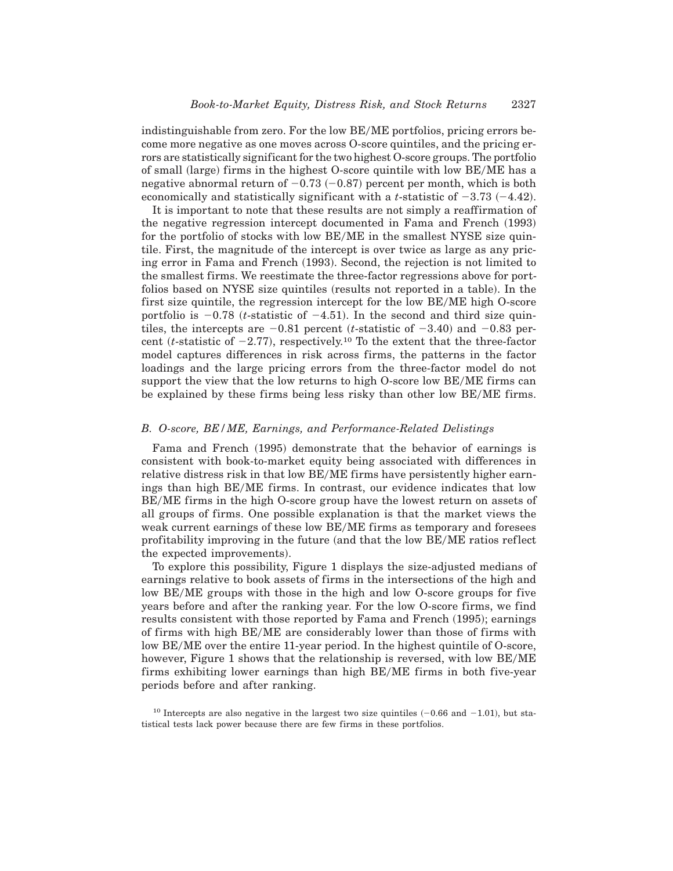indistinguishable from zero. For the low  $BE/ME$  portfolios, pricing errors become more negative as one moves across O-score quintiles, and the pricing errors are statistically significant for the two highest O-score groups. The portfolio of small  $(\text{large})$  firms in the highest O-score quintile with low  $BE/ME$  has a negative abnormal return of  $-0.73$   $(-0.87)$  percent per month, which is both economically and statistically significant with a *t*-statistic of  $-3.73$   $(-4.42)$ .

It is important to note that these results are not simply a reaffirmation of the negative regression intercept documented in Fama and French  $(1993)$ for the portfolio of stocks with low  $BE/ME$  in the smallest NYSE size quintile. First, the magnitude of the intercept is over twice as large as any pricing error in Fama and French (1993). Second, the rejection is not limited to the smallest firms. We reestimate the three-factor regressions above for portfolios based on NYSE size quintiles (results not reported in a table). In the first size quintile, the regression intercept for the low  $BE/ME$  high O-score portfolio is  $-0.78$  (*t*-statistic of  $-4.51$ ). In the second and third size quintiles, the intercepts are  $-0.81$  percent (*t*-statistic of  $-3.40$ ) and  $-0.83$  percent (*t*-statistic of  $-2.77$ ), respectively.<sup>10</sup> To the extent that the three-factor model captures differences in risk across firms, the patterns in the factor loadings and the large pricing errors from the three-factor model do not support the view that the low returns to high  $O$ -score low  $BE/ME$  firms can be explained by these firms being less risky than other low BE/ME firms.

# *B. O-score, BE/ME, Earnings, and Performance-Related Delistings*

Fama and French (1995) demonstrate that the behavior of earnings is consistent with book-to-market equity being associated with differences in relative distress risk in that low BE/ME firms have persistently higher earnings than high  $BE/ME$  firms. In contrast, our evidence indicates that low  $BE/ME$  firms in the high O-score group have the lowest return on assets of all groups of firms. One possible explanation is that the market views the weak current earnings of these low  $BE/ME$  firms as temporary and foresees profitability improving in the future (and that the low  $BE/ME$  ratios reflect the expected improvements).

To explore this possibility, Figure 1 displays the size-adjusted medians of earnings relative to book assets of firms in the intersections of the high and low  $BE/ME$  groups with those in the high and low O-score groups for five years before and after the ranking year. For the low O-score firms, we find results consistent with those reported by Fama and French (1995); earnings of firms with high BE/ME are considerably lower than those of firms with low  $BE/ME$  over the entire 11-year period. In the highest quintile of O-score, however, Figure 1 shows that the relationship is reversed, with low  $BE/ME$ firms exhibiting lower earnings than high BE/ME firms in both five-year periods before and after ranking.

<sup>10</sup> Intercepts are also negative in the largest two size quintiles  $(-0.66$  and  $-1.01)$ , but statistical tests lack power because there are few firms in these portfolios.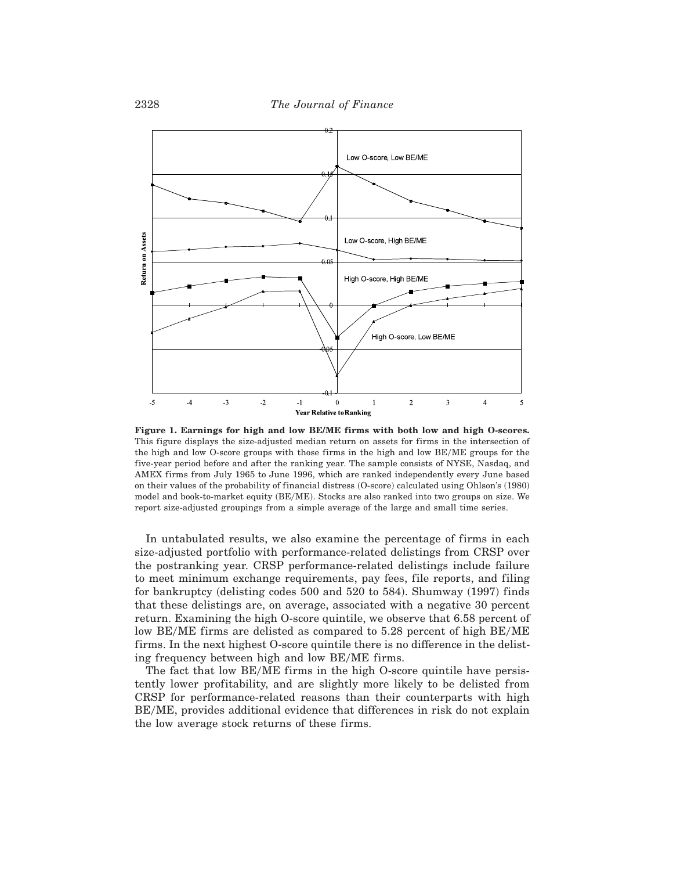

**Figure 1. Earnings for high and low BE/ME firms with both low and high O-scores.** This figure displays the size-adjusted median return on assets for firms in the intersection of the high and low O-score groups with those firms in the high and low  $BE/ME$  groups for the five-year period before and after the ranking year. The sample consists of NYSE, Nasdaq, and AMEX firms from July 1965 to June 1996, which are ranked independently every June based on their values of the probability of financial distress  $(O-score)$  calculated using Ohlson's  $(1980)$ model and book-to-market equity (BE/ME). Stocks are also ranked into two groups on size. We report size-adjusted groupings from a simple average of the large and small time series.

In untabulated results, we also examine the percentage of firms in each size-adjusted portfolio with performance-related delistings from CRSP over the postranking year. CRSP performance-related delistings include failure to meet minimum exchange requirements, pay fees, file reports, and filing for bankruptcy  $\Delta$  delisting codes 500 and 520 to 584). Shumway  $(1997)$  finds that these delistings are, on average, associated with a negative 30 percent return. Examining the high O-score quintile, we observe that 6.58 percent of low BE/ME firms are delisted as compared to 5.28 percent of high  $BE/ME$ firms. In the next highest O-score quintile there is no difference in the delisting frequency between high and low BE/ME firms.

The fact that low BE/ME firms in the high O-score quintile have persistently lower profitability, and are slightly more likely to be delisted from CRSP for performance-related reasons than their counterparts with high BE/ME, provides additional evidence that differences in risk do not explain the low average stock returns of these firms.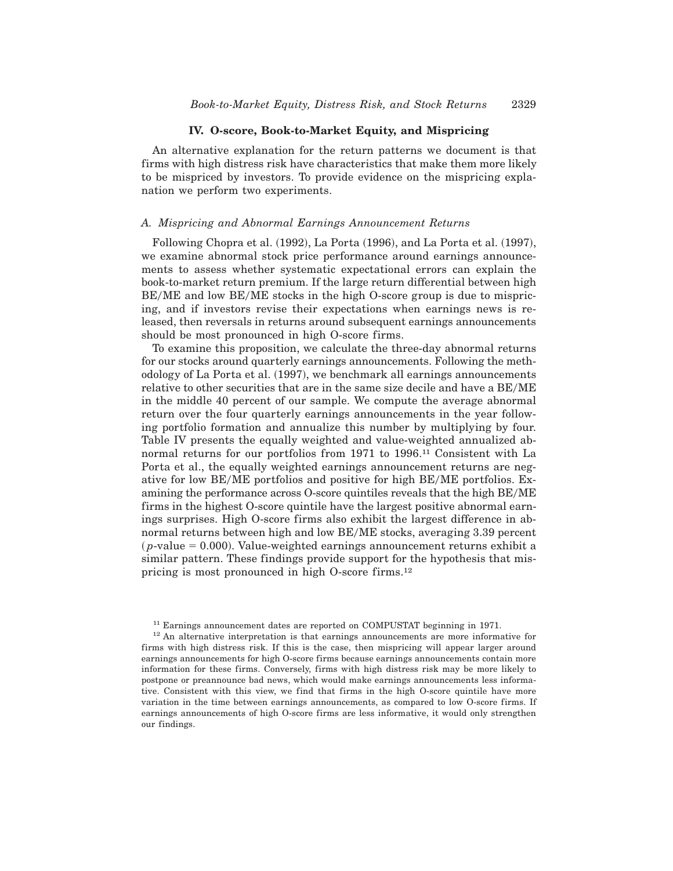# **IV. O-score, Book-to-Market Equity, and Mispricing**

An alternative explanation for the return patterns we document is that firms with high distress risk have characteristics that make them more likely to be mispriced by investors. To provide evidence on the mispricing explanation we perform two experiments.

### *A. Mispricing and Abnormal Earnings Announcement Returns*

Following Chopra et al.  $(1992)$ , La Porta  $(1996)$ , and La Porta et al.  $(1997)$ , we examine abnormal stock price performance around earnings announcements to assess whether systematic expectational errors can explain the book-to-market return premium. If the large return differential between high  $BE/ME$  and low  $BE/ME$  stocks in the high O-score group is due to mispricing, and if investors revise their expectations when earnings news is released, then reversals in returns around subsequent earnings announcements should be most pronounced in high O-score firms.

To examine this proposition, we calculate the three-day abnormal returns for our stocks around quarterly earnings announcements. Following the methodology of La Porta et al.  $(1997)$ , we benchmark all earnings announcements relative to other securities that are in the same size decile and have a  $BE/ME$ in the middle 40 percent of our sample. We compute the average abnormal return over the four quarterly earnings announcements in the year following portfolio formation and annualize this number by multiplying by four. Table IV presents the equally weighted and value-weighted annualized abnormal returns for our portfolios from 1971 to 1996.11 Consistent with La Porta et al., the equally weighted earnings announcement returns are negative for low  $BE/ME$  portfolios and positive for high  $BE/ME$  portfolios. Examining the performance across O-score quintiles reveals that the high  $BE/ME$ firms in the highest O-score quintile have the largest positive abnormal earnings surprises. High O-score firms also exhibit the largest difference in abnormal returns between high and low  $BE/ME$  stocks, averaging 3.39 percent  $(p$ -value  $= 0.000$ ). Value-weighted earnings announcement returns exhibit a similar pattern. These findings provide support for the hypothesis that mispricing is most pronounced in high O-score firms.12

 $11$  Earnings announcement dates are reported on COMPUSTAT beginning in 1971.

 $12$  An alternative interpretation is that earnings announcements are more informative for firms with high distress risk. If this is the case, then mispricing will appear larger around earnings announcements for high O-score firms because earnings announcements contain more information for these firms. Conversely, firms with high distress risk may be more likely to postpone or preannounce bad news, which would make earnings announcements less informative. Consistent with this view, we find that firms in the high O-score quintile have more variation in the time between earnings announcements, as compared to low O-score firms. If earnings announcements of high O-score firms are less informative, it would only strengthen our findings.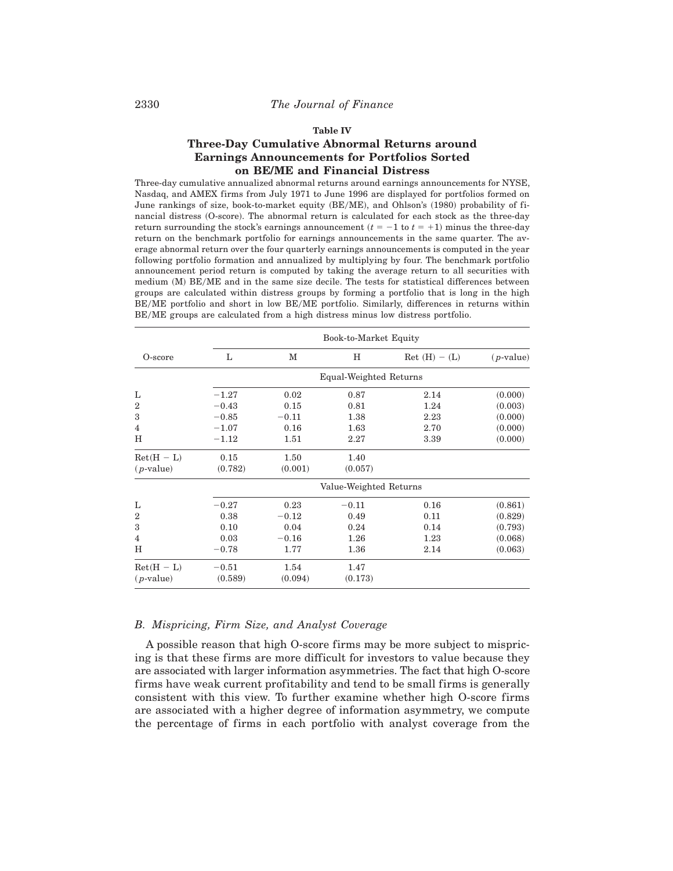#### **Table IV**

# **Three-Day Cumulative Abnormal Returns around Earnings Announcements for Portfolios Sorted on BE/ME and Financial Distress**

Three-day cumulative annualized abnormal returns around earnings announcements for NYSE, Nasdaq, and AMEX firms from July 1971 to June 1996 are displayed for portfolios formed on June rankings of size, book-to-market equity  $(BE/ME)$ , and Ohlson's  $(1980)$  probability of financial distress (O-score). The abnormal return is calculated for each stock as the three-day return surrounding the stock's earnings announcement  $(t = -1$  to  $t = +1$ ) minus the three-day return on the benchmark portfolio for earnings announcements in the same quarter. The average abnormal return over the four quarterly earnings announcements is computed in the year following portfolio formation and annualized by multiplying by four. The benchmark portfolio announcement period return is computed by taking the average return to all securities with medium  $(M)$  BE/ME and in the same size decile. The tests for statistical differences between groups are calculated within distress groups by forming a portfolio that is long in the high BE/ME portfolio and short in low BE/ME portfolio. Similarly, differences in returns within BE/ME groups are calculated from a high distress minus low distress portfolio.

|                | Book-to-Market Equity  |                        |         |                |             |  |  |  |  |  |
|----------------|------------------------|------------------------|---------|----------------|-------------|--|--|--|--|--|
| O-score        | L                      | М                      | Н       | $Ret(H) - (L)$ | $(p-value)$ |  |  |  |  |  |
|                |                        | Equal-Weighted Returns |         |                |             |  |  |  |  |  |
| L              | $-1.27$                | 0.02                   | 0.87    | 2.14           | (0.000)     |  |  |  |  |  |
| $\overline{2}$ | $-0.43$                | 0.15                   | 0.81    | 1.24           | (0.003)     |  |  |  |  |  |
| 3              | $-0.85$                | $-0.11$                | 1.38    | 2.23           | (0.000)     |  |  |  |  |  |
| $\overline{4}$ | $-1.07$                | 0.16                   | 1.63    | 2.70           | (0.000)     |  |  |  |  |  |
| H              | $-1.12$                | 1.51                   | 2.27    | 3.39           | (0.000)     |  |  |  |  |  |
| $Ret(H - L)$   | 0.15                   | 1.50                   | 1.40    |                |             |  |  |  |  |  |
| $(p-value)$    | (0.782)                | (0.001)                | (0.057) |                |             |  |  |  |  |  |
|                | Value-Weighted Returns |                        |         |                |             |  |  |  |  |  |
| L              | $-0.27$                | 0.23                   | $-0.11$ | 0.16           | (0.861)     |  |  |  |  |  |
| $\overline{2}$ | 0.38                   | $-0.12$                | 0.49    | 0.11           | (0.829)     |  |  |  |  |  |
| 3              | 0.10                   | 0.04                   | 0.24    | 0.14           | (0.793)     |  |  |  |  |  |
| $\overline{4}$ | 0.03                   | $-0.16$                | 1.26    | 1.23           | (0.068)     |  |  |  |  |  |
| H              | $-0.78$                | 1.77                   | 1.36    | 2.14           | (0.063)     |  |  |  |  |  |
| $Ret(H - L)$   | $-0.51$                | 1.54                   | 1.47    |                |             |  |  |  |  |  |
| $(p-value)$    | (0.589)                | (0.094)                | (0.173) |                |             |  |  |  |  |  |

#### *B. Mispricing, Firm Size, and Analyst Coverage*

A possible reason that high O-score firms may be more subject to mispricing is that these firms are more difficult for investors to value because they are associated with larger information asymmetries. The fact that high O-score firms have weak current profitability and tend to be small firms is generally consistent with this view. To further examine whether high O-score firms are associated with a higher degree of information asymmetry, we compute the percentage of firms in each portfolio with analyst coverage from the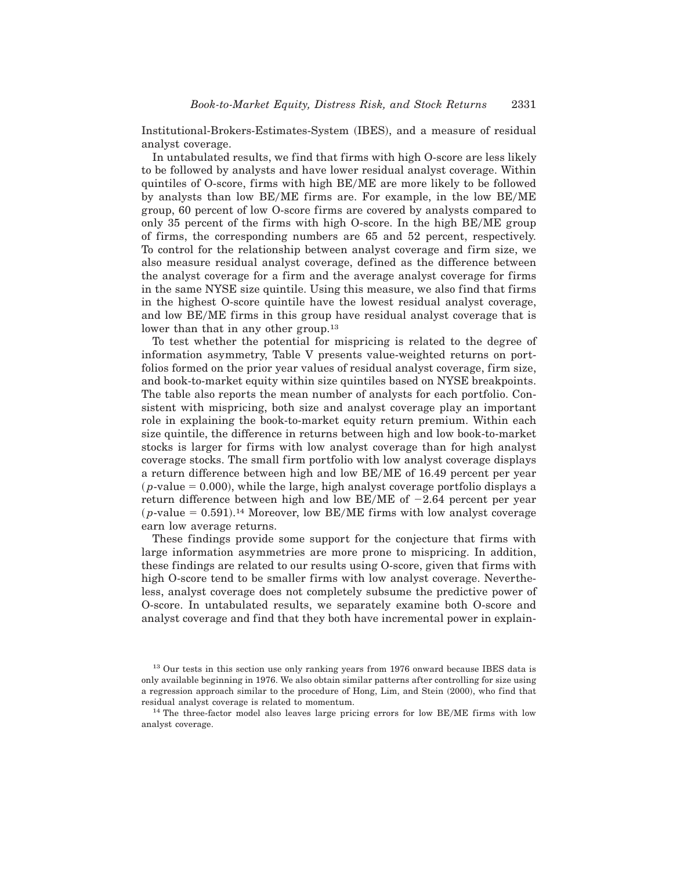Institutional-Brokers-Estimates-System (IBES), and a measure of residual analyst coverage.

In untabulated results, we find that firms with high O-score are less likely to be followed by analysts and have lower residual analyst coverage. Within quintiles of O-score, firms with high  $BE/ME$  are more likely to be followed by analysts than low  $BE/ME$  firms are. For example, in the low  $BE/ME$ group, 60 percent of low O-score firms are covered by analysts compared to only 35 percent of the firms with high O-score. In the high  $BE/ME$  group of firms, the corresponding numbers are 65 and 52 percent, respectively. To control for the relationship between analyst coverage and firm size, we also measure residual analyst coverage, defined as the difference between the analyst coverage for a firm and the average analyst coverage for firms in the same NYSE size quintile. Using this measure, we also find that firms in the highest O-score quintile have the lowest residual analyst coverage, and low  $BE/ME$  firms in this group have residual analyst coverage that is lower than that in any other group.<sup>13</sup>

To test whether the potential for mispricing is related to the degree of information asymmetry, Table V presents value-weighted returns on portfolios formed on the prior year values of residual analyst coverage, firm size, and book-to-market equity within size quintiles based on NYSE breakpoints. The table also reports the mean number of analysts for each portfolio. Consistent with mispricing, both size and analyst coverage play an important role in explaining the book-to-market equity return premium. Within each size quintile, the difference in returns between high and low book-to-market stocks is larger for firms with low analyst coverage than for high analyst coverage stocks. The small firm portfolio with low analyst coverage displays a return difference between high and low  $BE/ME$  of 16.49 percent per year  $(p$ -value  $= 0.000$ ), while the large, high analyst coverage portfolio displays a return difference between high and low  $BE/ME$  of  $-2.64$  percent per year  $(p$ -value  $= 0.591$ <sup>14</sup> Moreover, low BE/ME firms with low analyst coverage earn low average returns.

These findings provide some support for the conjecture that firms with large information asymmetries are more prone to mispricing. In addition, these findings are related to our results using O-score, given that firms with high O-score tend to be smaller firms with low analyst coverage. Nevertheless, analyst coverage does not completely subsume the predictive power of O-score. In untabulated results, we separately examine both O-score and analyst coverage and find that they both have incremental power in explain-

<sup>14</sup> The three-factor model also leaves large pricing errors for low  $BE/ME$  firms with low analyst coverage.

<sup>&</sup>lt;sup>13</sup> Our tests in this section use only ranking years from 1976 onward because IBES data is only available beginning in 1976. We also obtain similar patterns after controlling for size using a regression approach similar to the procedure of Hong, Lim, and Stein (2000), who find that residual analyst coverage is related to momentum.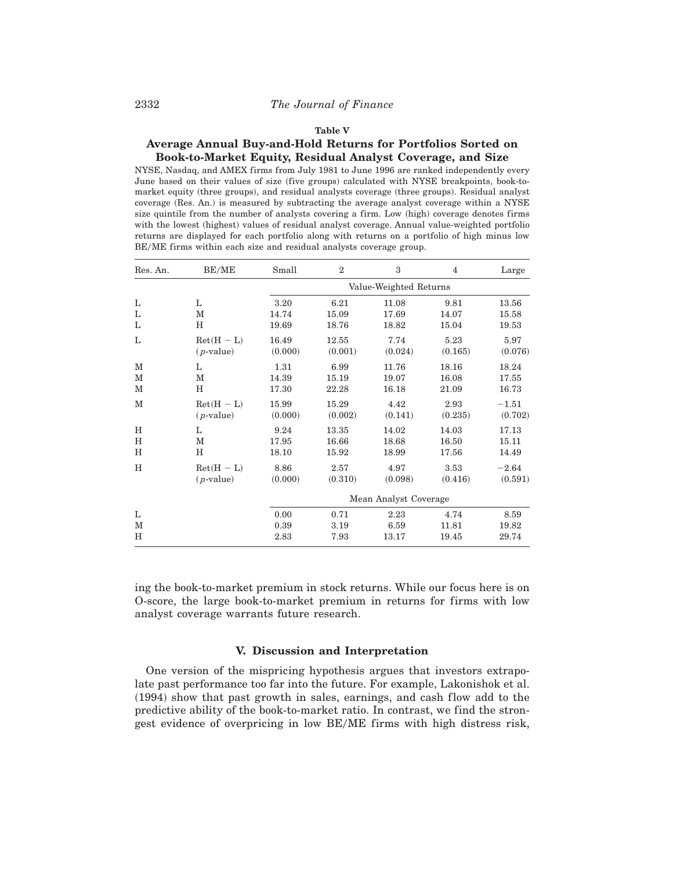# **Table V**

# **Average Annual Buy-and-Hold Returns for Portfolios Sorted on Book-to-Market Equity, Residual Analyst Coverage, and Size**

NYSE, Nasdaq, and AMEX firms from July 1981 to June 1996 are ranked independently every June based on their values of size (five groups) calculated with NYSE breakpoints, book-tomarket equity (three groups), and residual analysts coverage (three groups). Residual analyst  $coverage$  (Res. An.) is measured by subtracting the average analyst coverage within a NYSE size quintile from the number of analysts covering a firm. Low (high) coverage denotes firms with the lowest (highest) values of residual analyst coverage. Annual value-weighted portfolio returns are displayed for each portfolio along with returns on a portfolio of high minus low BE/ME firms within each size and residual analysts coverage group.

| Res. An.   | BE/ME        | Small   | $\overline{2}$        | 3       | $\overline{4}$ | Large   |  |  |  |  |
|------------|--------------|---------|-----------------------|---------|----------------|---------|--|--|--|--|
|            |              |         |                       |         |                |         |  |  |  |  |
| L          | L            | 3.20    | 6.21                  | 11.08   | 9.81           | 13.56   |  |  |  |  |
| L          | М            | 14.74   | 15.09                 | 17.69   | 14.07          | 15.58   |  |  |  |  |
| L          | Η            | 19.69   | 18.76                 | 18.82   | 15.04          | 19.53   |  |  |  |  |
| L          | $Ret(H - L)$ | 16.49   | 12.55                 | 7.74    | 5.23           | 5.97    |  |  |  |  |
|            | $(p-value)$  | (0.000) | (0.001)               | (0.024) | (0.165)        | (0.076) |  |  |  |  |
| М          | L            | 1.31    | 6.99                  | 11.76   | 18.16          | 18.24   |  |  |  |  |
| М          | М            | 14.39   | 15.19                 | 19.07   | 16.08          | 17.55   |  |  |  |  |
| М          | Η            | 17.30   | 22.28                 | 16.18   | 21.09          | 16.73   |  |  |  |  |
| $_{\rm M}$ | $Ret(H - L)$ | 15.99   | 15.29                 | 4.42    | 2.93           | $-1.51$ |  |  |  |  |
|            | $(p-value)$  | (0.000) | (0.002)               | (0.141) | (0.235)        | (0.702) |  |  |  |  |
| H          | L            | 9.24    | 13.35                 | 14.02   | 14.03          | 17.13   |  |  |  |  |
| H          | м            | 17.95   | 16.66                 | 18.68   | 16.50          | 15.11   |  |  |  |  |
| H          | Η            | 18.10   | 15.92                 | 18.99   | 17.56          | 14.49   |  |  |  |  |
| H          | $Ret(H - L)$ | 8.86    | 2.57                  | 4.97    | 3.53           | $-2.64$ |  |  |  |  |
|            | $(p-value)$  | (0.000) | (0.310)               | (0.098) | (0.416)        | (0.591) |  |  |  |  |
|            |              |         | Mean Analyst Coverage |         |                |         |  |  |  |  |
| L          |              | 0.00    | 0.71                  | 2.23    | 4.74           | 8.59    |  |  |  |  |
| М          |              | 0.39    | 3.19                  | 6.59    | 11.81          | 19.82   |  |  |  |  |
| H          |              | 2.83    | 7.93                  | 13.17   | 19.45          | 29.74   |  |  |  |  |

ing the book-to-market premium in stock returns. While our focus here is on O-score, the large book-to-market premium in returns for firms with low analyst coverage warrants future research.

# **V. Discussion and Interpretation**

One version of the mispricing hypothesis argues that investors extrapolate past performance too far into the future. For example, Lakonishok et al.  $(1994)$  show that past growth in sales, earnings, and cash flow add to the predictive ability of the book-to-market ratio. In contrast, we find the strongest evidence of overpricing in low BE/ME firms with high distress risk,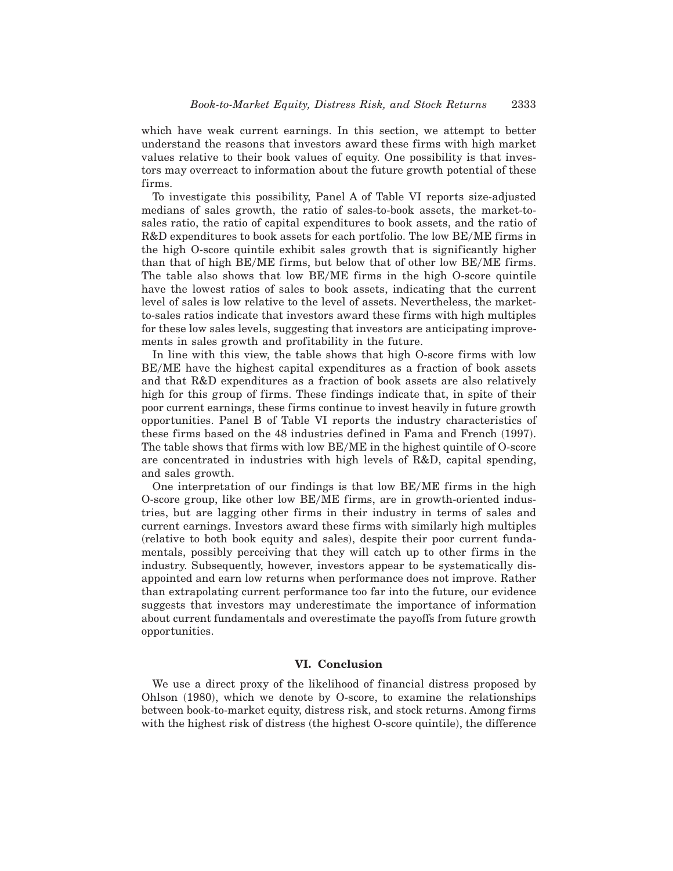which have weak current earnings. In this section, we attempt to better understand the reasons that investors award these firms with high market values relative to their book values of equity. One possibility is that investors may overreact to information about the future growth potential of these firms.

To investigate this possibility, Panel A of Table VI reports size-adjusted medians of sales growth, the ratio of sales-to-book assets, the market-tosales ratio, the ratio of capital expenditures to book assets, and the ratio of R&D expenditures to book assets for each portfolio. The low BE/ME firms in the high O-score quintile exhibit sales growth that is significantly higher than that of high  $BE/ME$  firms, but below that of other low  $BE/ME$  firms. The table also shows that low  $BE/ME$  firms in the high O-score quintile have the lowest ratios of sales to book assets, indicating that the current level of sales is low relative to the level of assets. Nevertheless, the marketto-sales ratios indicate that investors award these firms with high multiples for these low sales levels, suggesting that investors are anticipating improvements in sales growth and profitability in the future.

In line with this view, the table shows that high O-score firms with low  $BE/ME$  have the highest capital expenditures as a fraction of book assets and that R&D expenditures as a fraction of book assets are also relatively high for this group of firms. These findings indicate that, in spite of their poor current earnings, these firms continue to invest heavily in future growth opportunities. Panel B of Table VI reports the industry characteristics of these firms based on the  $48$  industries defined in Fama and French  $(1997)$ . The table shows that firms with low  $BE/ME$  in the highest quintile of O-score are concentrated in industries with high levels of R&D, capital spending, and sales growth.

One interpretation of our findings is that low  $BE/ME$  firms in the high O-score group, like other low  $BE/ME$  firms, are in growth-oriented industries, but are lagging other firms in their industry in terms of sales and current earnings. Investors award these firms with similarly high multiples  $(relative to both book equity and sales), despite their poor current funda$ mentals, possibly perceiving that they will catch up to other firms in the industry. Subsequently, however, investors appear to be systematically disappointed and earn low returns when performance does not improve. Rather than extrapolating current performance too far into the future, our evidence suggests that investors may underestimate the importance of information about current fundamentals and overestimate the payoffs from future growth opportunities.

# **VI. Conclusion**

We use a direct proxy of the likelihood of financial distress proposed by Ohlson  $(1980)$ , which we denote by O-score, to examine the relationships between book-to-market equity, distress risk, and stock returns. Among firms with the highest risk of distress (the highest O-score quintile), the difference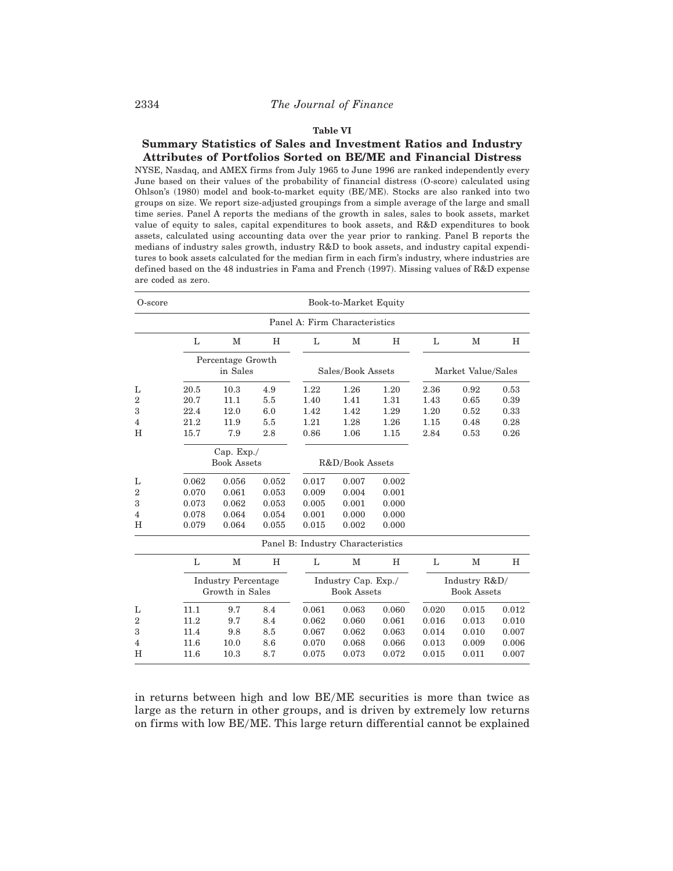# **Table VI**

# **Summary Statistics of Sales and Investment Ratios and Industry Attributes of Portfolios Sorted on BE/ME and Financial Distress**

NYSE, Nasdaq, and AMEX firms from July 1965 to June 1996 are ranked independently every June based on their values of the probability of financial distress (O-score) calculated using Ohlson's (1980) model and book-to-market equity (BE/ME). Stocks are also ranked into two groups on size. We report size-adjusted groupings from a simple average of the large and small time series. Panel A reports the medians of the growth in sales, sales to book assets, market value of equity to sales, capital expenditures to book assets, and R&D expenditures to book assets, calculated using accounting data over the year prior to ranking. Panel B reports the medians of industry sales growth, industry R&D to book assets, and industry capital expenditures to book assets calculated for the median firm in each firm's industry, where industries are defined based on the 48 industries in Fama and French (1997). Missing values of R&D expense are coded as zero.

| O-score        |       |                                               |       |       | Book-to-Market Equity                     |       |       |                                     |       |  |
|----------------|-------|-----------------------------------------------|-------|-------|-------------------------------------------|-------|-------|-------------------------------------|-------|--|
|                |       |                                               |       |       | Panel A: Firm Characteristics             |       |       |                                     |       |  |
|                | L     | $\mathbf{M}$                                  | H     | L     | M                                         | H     | L     | M                                   | H     |  |
|                |       | Percentage Growth<br>in Sales                 |       |       | Sales/Book Assets                         |       |       | Market Value/Sales                  |       |  |
| L              | 20.5  | 10.3                                          | 4.9   | 1.22  | 1.26                                      | 1.20  | 2.36  | 0.92                                | 0.53  |  |
| $\overline{2}$ | 20.7  | 11.1                                          | 5.5   | 1.40  | 1.41                                      | 1.31  | 1.43  | 0.65                                | 0.39  |  |
| 3              | 22.4  | 12.0                                          | 6.0   | 1.42  | 1.42                                      | 1.29  | 1.20  | 0.52                                | 0.33  |  |
| $\overline{4}$ | 21.2  | 11.9                                          | 5.5   | 1.21  | 1.28                                      | 1.26  | 1.15  | 0.48                                | 0.28  |  |
| H              | 15.7  | 7.9                                           | 2.8   | 0.86  | 1.06                                      | 1.15  | 2.84  | 0.53                                | 0.26  |  |
|                |       | Cap. Exp.<br><b>Book Assets</b>               |       |       | R&D/Book Assets                           |       |       |                                     |       |  |
| L              | 0.062 | 0.056                                         | 0.052 | 0.017 | 0.007                                     | 0.002 |       |                                     |       |  |
| $\overline{2}$ | 0.070 | 0.061                                         | 0.053 | 0.009 | 0.004                                     | 0.001 |       |                                     |       |  |
| 3              | 0.073 | 0.062                                         | 0.053 | 0.005 | 0.001                                     | 0.000 |       |                                     |       |  |
| $\overline{4}$ | 0.078 | 0.064                                         | 0.054 | 0.001 | 0.000                                     | 0.000 |       |                                     |       |  |
| H              | 0.079 | 0.064                                         | 0.055 | 0.015 | 0.002                                     | 0.000 |       |                                     |       |  |
|                |       |                                               |       |       | Panel B: Industry Characteristics         |       |       |                                     |       |  |
|                | L     | $\mathbf{M}$                                  | H     | L     | M                                         | H     | L     | M                                   | H     |  |
|                |       | <b>Industry Percentage</b><br>Growth in Sales |       |       | Industry Cap. Exp./<br><b>Book Assets</b> |       |       | Industry R&D/<br><b>Book Assets</b> |       |  |
| L              | 11.1  | 9.7                                           | 8.4   | 0.061 | 0.063                                     | 0.060 | 0.020 | 0.015                               | 0.012 |  |
| $\overline{2}$ | 11.2  | 9.7                                           | 8.4   | 0.062 | 0.060                                     | 0.061 | 0.016 | 0.013                               | 0.010 |  |
| 3              | 11.4  | 9.8                                           | 8.5   | 0.067 | 0.062                                     | 0.063 | 0.014 | 0.010                               | 0.007 |  |
| 4              | 11.6  | 10.0                                          | 8.6   | 0.070 | 0.068                                     | 0.066 | 0.013 | 0.009                               | 0.006 |  |
| H              | 11.6  | 10.3                                          | 8.7   | 0.075 | 0.073                                     | 0.072 | 0.015 | 0.011                               | 0.007 |  |

in returns between high and low BE/ME securities is more than twice as large as the return in other groups, and is driven by extremely low returns on firms with low BE/ME. This large return differential cannot be explained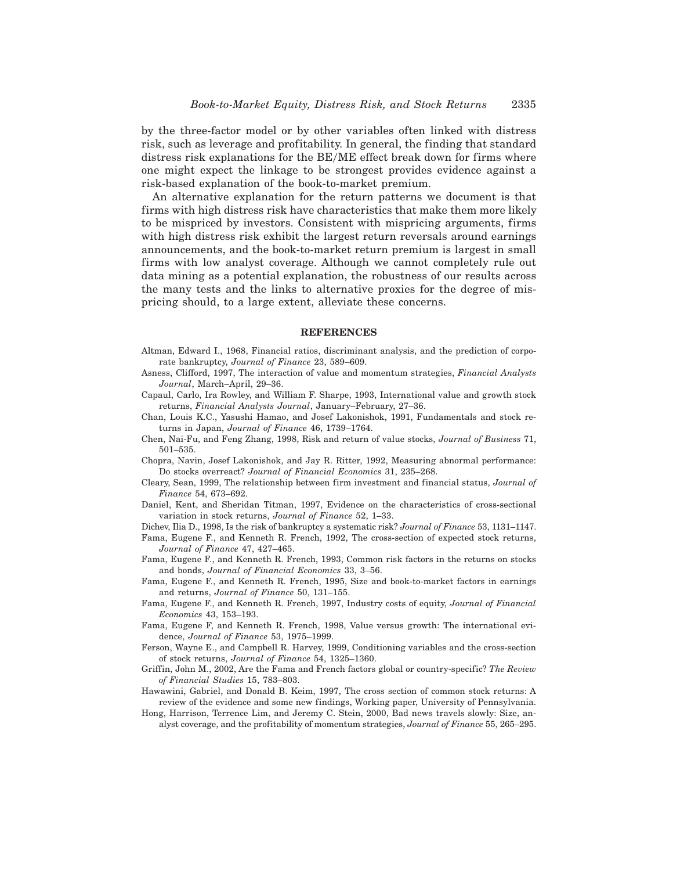by the three-factor model or by other variables often linked with distress risk, such as leverage and profitability. In general, the finding that standard distress risk explanations for the  $BE/ME$  effect break down for firms where one might expect the linkage to be strongest provides evidence against a risk-based explanation of the book-to-market premium.

An alternative explanation for the return patterns we document is that firms with high distress risk have characteristics that make them more likely to be mispriced by investors. Consistent with mispricing arguments, firms with high distress risk exhibit the largest return reversals around earnings announcements, and the book-to-market return premium is largest in small firms with low analyst coverage. Although we cannot completely rule out data mining as a potential explanation, the robustness of our results across the many tests and the links to alternative proxies for the degree of mispricing should, to a large extent, alleviate these concerns.

#### **REFERENCES**

- Altman, Edward I., 1968, Financial ratios, discriminant analysis, and the prediction of corporate bankruptcy, *Journal of Finance* 23, 589–609.
- Asness, Clifford, 1997, The interaction of value and momentum strategies, *Financial Analysts Journal*, March–April, 29–36.
- Capaul, Carlo, Ira Rowley, and William F. Sharpe, 1993, International value and growth stock returns, *Financial Analysts Journal*, January–February, 27–36.
- Chan, Louis K.C., Yasushi Hamao, and Josef Lakonishok, 1991, Fundamentals and stock returns in Japan, *Journal of Finance* 46, 1739–1764.
- Chen, Nai-Fu, and Feng Zhang, 1998, Risk and return of value stocks, *Journal of Business* 71, 501–535.
- Chopra, Navin, Josef Lakonishok, and Jay R. Ritter, 1992, Measuring abnormal performance: Do stocks overreact? *Journal of Financial Economics* 31, 235–268.
- Cleary, Sean, 1999, The relationship between firm investment and financial status, *Journal of Finance* 54, 673–692.
- Daniel, Kent, and Sheridan Titman, 1997, Evidence on the characteristics of cross-sectional variation in stock returns, *Journal of Finance* 52, 1–33.
- Dichev, Ilia D., 1998, Is the risk of bankruptcy a systematic risk? *Journal of Finance* 53, 1131–1147.
- Fama, Eugene F., and Kenneth R. French, 1992, The cross-section of expected stock returns, *Journal of Finance* 47, 427–465.
- Fama, Eugene F., and Kenneth R. French, 1993, Common risk factors in the returns on stocks and bonds, *Journal of Financial Economics* 33, 3–56.
- Fama, Eugene F., and Kenneth R. French, 1995, Size and book-to-market factors in earnings and returns, *Journal of Finance* 50, 131–155.
- Fama, Eugene F., and Kenneth R. French, 1997, Industry costs of equity, *Journal of Financial Economics* 43, 153–193.
- Fama, Eugene F, and Kenneth R. French, 1998, Value versus growth: The international evidence, *Journal of Finance* 53, 1975–1999.
- Ferson, Wayne E., and Campbell R. Harvey, 1999, Conditioning variables and the cross-section of stock returns, *Journal of Finance* 54, 1325–1360.
- Griffin, John M., 2002, Are the Fama and French factors global or country-specific? *The Review of Financial Studies* 15, 783–803.
- Hawawini, Gabriel, and Donald B. Keim, 1997, The cross section of common stock returns: A review of the evidence and some new findings, Working paper, University of Pennsylvania.
- Hong, Harrison, Terrence Lim, and Jeremy C. Stein, 2000, Bad news travels slowly: Size, analyst coverage, and the profitability of momentum strategies, *Journal of Finance* 55, 265–295.